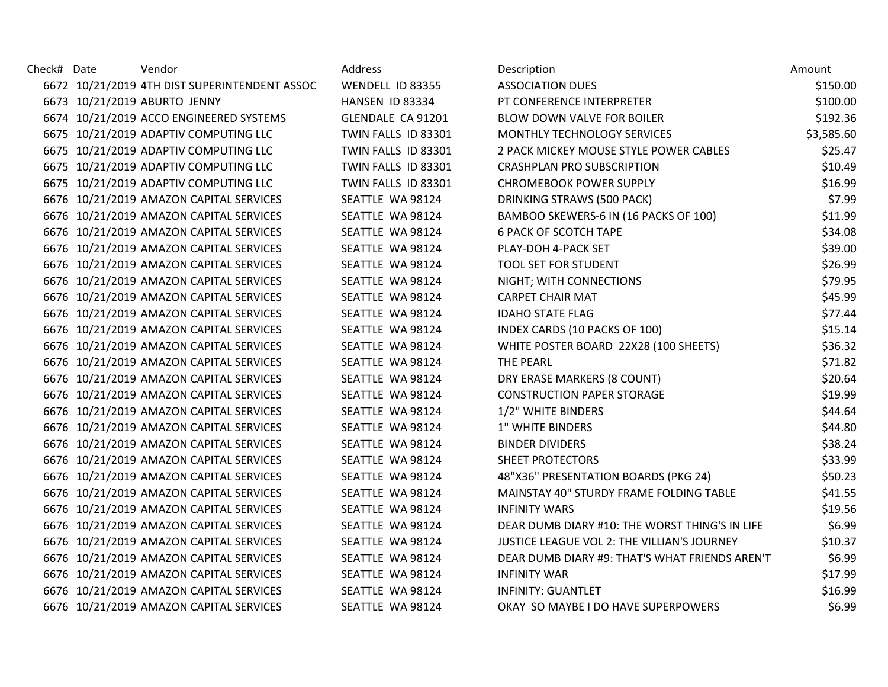| Check# Date | Vendor                                        | Address             | Description                                    | Amount     |
|-------------|-----------------------------------------------|---------------------|------------------------------------------------|------------|
|             | 6672 10/21/2019 4TH DIST SUPERINTENDENT ASSOC | WENDELL ID 83355    | <b>ASSOCIATION DUES</b>                        | \$150.00   |
|             | 6673 10/21/2019 ABURTO JENNY                  | HANSEN ID 83334     | PT CONFERENCE INTERPRETER                      | \$100.00   |
|             | 6674 10/21/2019 ACCO ENGINEERED SYSTEMS       | GLENDALE CA 91201   | BLOW DOWN VALVE FOR BOILER                     | \$192.36   |
|             | 6675 10/21/2019 ADAPTIV COMPUTING LLC         | TWIN FALLS ID 83301 | MONTHLY TECHNOLOGY SERVICES                    | \$3,585.60 |
|             | 6675 10/21/2019 ADAPTIV COMPUTING LLC         | TWIN FALLS ID 83301 | 2 PACK MICKEY MOUSE STYLE POWER CABLES         | \$25.47    |
|             | 6675 10/21/2019 ADAPTIV COMPUTING LLC         | TWIN FALLS ID 83301 | <b>CRASHPLAN PRO SUBSCRIPTION</b>              | \$10.49    |
|             | 6675 10/21/2019 ADAPTIV COMPUTING LLC         | TWIN FALLS ID 83301 | <b>CHROMEBOOK POWER SUPPLY</b>                 | \$16.99    |
|             | 6676 10/21/2019 AMAZON CAPITAL SERVICES       | SEATTLE WA 98124    | DRINKING STRAWS (500 PACK)                     | \$7.99     |
|             | 6676 10/21/2019 AMAZON CAPITAL SERVICES       | SEATTLE WA 98124    | BAMBOO SKEWERS-6 IN (16 PACKS OF 100)          | \$11.99    |
|             | 6676 10/21/2019 AMAZON CAPITAL SERVICES       | SEATTLE WA 98124    | <b>6 PACK OF SCOTCH TAPE</b>                   | \$34.08    |
|             | 6676 10/21/2019 AMAZON CAPITAL SERVICES       | SEATTLE WA 98124    | PLAY-DOH 4-PACK SET                            | \$39.00    |
|             | 6676 10/21/2019 AMAZON CAPITAL SERVICES       | SEATTLE WA 98124    | TOOL SET FOR STUDENT                           | \$26.99    |
|             | 6676 10/21/2019 AMAZON CAPITAL SERVICES       | SEATTLE WA 98124    | NIGHT; WITH CONNECTIONS                        | \$79.95    |
|             | 6676 10/21/2019 AMAZON CAPITAL SERVICES       | SEATTLE WA 98124    | <b>CARPET CHAIR MAT</b>                        | \$45.99    |
|             | 6676 10/21/2019 AMAZON CAPITAL SERVICES       | SEATTLE WA 98124    | <b>IDAHO STATE FLAG</b>                        | \$77.44    |
|             | 6676 10/21/2019 AMAZON CAPITAL SERVICES       | SEATTLE WA 98124    | INDEX CARDS (10 PACKS OF 100)                  | \$15.14    |
|             | 6676 10/21/2019 AMAZON CAPITAL SERVICES       | SEATTLE WA 98124    | WHITE POSTER BOARD 22X28 (100 SHEETS)          | \$36.32    |
|             | 6676 10/21/2019 AMAZON CAPITAL SERVICES       | SEATTLE WA 98124    | THE PEARL                                      | \$71.82    |
|             | 6676 10/21/2019 AMAZON CAPITAL SERVICES       | SEATTLE WA 98124    | DRY ERASE MARKERS (8 COUNT)                    | \$20.64    |
|             | 6676 10/21/2019 AMAZON CAPITAL SERVICES       | SEATTLE WA 98124    | <b>CONSTRUCTION PAPER STORAGE</b>              | \$19.99    |
|             | 6676 10/21/2019 AMAZON CAPITAL SERVICES       | SEATTLE WA 98124    | 1/2" WHITE BINDERS                             | \$44.64    |
|             | 6676 10/21/2019 AMAZON CAPITAL SERVICES       | SEATTLE WA 98124    | 1" WHITE BINDERS                               | \$44.80    |
|             | 6676 10/21/2019 AMAZON CAPITAL SERVICES       | SEATTLE WA 98124    | <b>BINDER DIVIDERS</b>                         | \$38.24    |
|             | 6676 10/21/2019 AMAZON CAPITAL SERVICES       | SEATTLE WA 98124    | SHEET PROTECTORS                               | \$33.99    |
|             | 6676 10/21/2019 AMAZON CAPITAL SERVICES       | SEATTLE WA 98124    | 48"X36" PRESENTATION BOARDS (PKG 24)           | \$50.23    |
|             | 6676 10/21/2019 AMAZON CAPITAL SERVICES       | SEATTLE WA 98124    | MAINSTAY 40" STURDY FRAME FOLDING TABLE        | \$41.55    |
|             | 6676 10/21/2019 AMAZON CAPITAL SERVICES       | SEATTLE WA 98124    | <b>INFINITY WARS</b>                           | \$19.56    |
|             | 6676 10/21/2019 AMAZON CAPITAL SERVICES       | SEATTLE WA 98124    | DEAR DUMB DIARY #10: THE WORST THING'S IN LIFE | \$6.99     |
|             | 6676 10/21/2019 AMAZON CAPITAL SERVICES       | SEATTLE WA 98124    | JUSTICE LEAGUE VOL 2: THE VILLIAN'S JOURNEY    | \$10.37    |
|             | 6676 10/21/2019 AMAZON CAPITAL SERVICES       | SEATTLE WA 98124    | DEAR DUMB DIARY #9: THAT'S WHAT FRIENDS AREN'T | \$6.99     |
|             | 6676 10/21/2019 AMAZON CAPITAL SERVICES       | SEATTLE WA 98124    | <b>INFINITY WAR</b>                            | \$17.99    |
|             | 6676 10/21/2019 AMAZON CAPITAL SERVICES       | SEATTLE WA 98124    | <b>INFINITY: GUANTLET</b>                      | \$16.99    |
|             | 6676 10/21/2019 AMAZON CAPITAL SERVICES       | SEATTLE WA 98124    | OKAY SO MAYBE I DO HAVE SUPERPOWERS            | \$6.99     |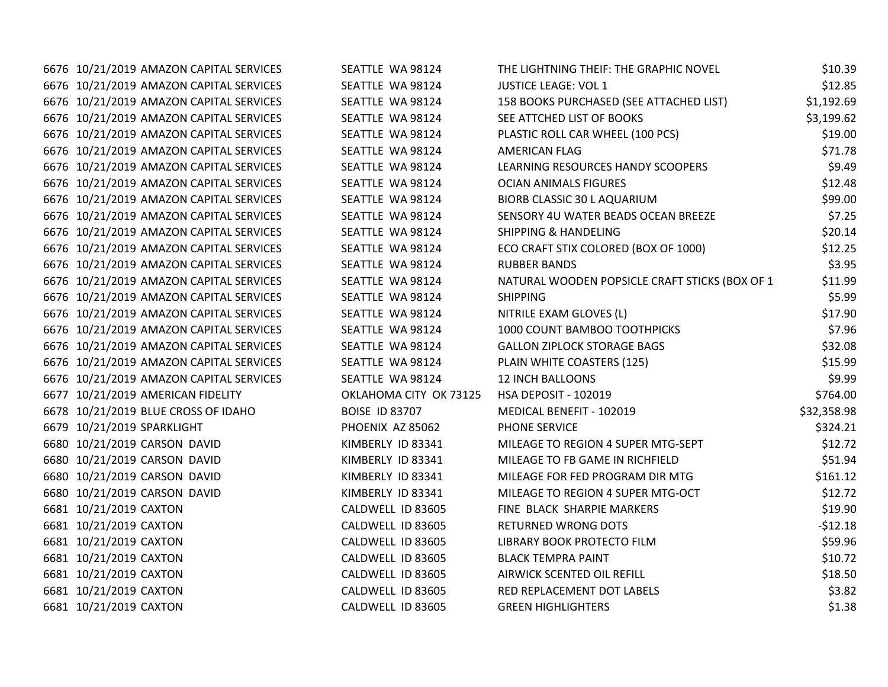| 6676 10/21/2019 AMAZON CAPITAL SERVICES | SEATTLE WA 98124       | THE LIGHTNING THEIF: THE GRAPHIC NOVEL         | \$10.39     |
|-----------------------------------------|------------------------|------------------------------------------------|-------------|
| 6676 10/21/2019 AMAZON CAPITAL SERVICES | SEATTLE WA 98124       | <b>JUSTICE LEAGE: VOL 1</b>                    | \$12.85     |
| 6676 10/21/2019 AMAZON CAPITAL SERVICES | SEATTLE WA 98124       | 158 BOOKS PURCHASED (SEE ATTACHED LIST)        | \$1,192.69  |
| 6676 10/21/2019 AMAZON CAPITAL SERVICES | SEATTLE WA 98124       | SEE ATTCHED LIST OF BOOKS                      | \$3,199.62  |
| 6676 10/21/2019 AMAZON CAPITAL SERVICES | SEATTLE WA 98124       | PLASTIC ROLL CAR WHEEL (100 PCS)               | \$19.00     |
| 6676 10/21/2019 AMAZON CAPITAL SERVICES | SEATTLE WA 98124       | AMERICAN FLAG                                  | \$71.78     |
| 6676 10/21/2019 AMAZON CAPITAL SERVICES | SEATTLE WA 98124       | LEARNING RESOURCES HANDY SCOOPERS              | \$9.49      |
| 6676 10/21/2019 AMAZON CAPITAL SERVICES | SEATTLE WA 98124       | <b>OCIAN ANIMALS FIGURES</b>                   | \$12.48     |
| 6676 10/21/2019 AMAZON CAPITAL SERVICES | SEATTLE WA 98124       | BIORB CLASSIC 30 L AQUARIUM                    | \$99.00     |
| 6676 10/21/2019 AMAZON CAPITAL SERVICES | SEATTLE WA 98124       | SENSORY 4U WATER BEADS OCEAN BREEZE            | \$7.25      |
| 6676 10/21/2019 AMAZON CAPITAL SERVICES | SEATTLE WA 98124       | <b>SHIPPING &amp; HANDELING</b>                | \$20.14     |
| 6676 10/21/2019 AMAZON CAPITAL SERVICES | SEATTLE WA 98124       | ECO CRAFT STIX COLORED (BOX OF 1000)           | \$12.25     |
| 6676 10/21/2019 AMAZON CAPITAL SERVICES | SEATTLE WA 98124       | <b>RUBBER BANDS</b>                            | \$3.95      |
| 6676 10/21/2019 AMAZON CAPITAL SERVICES | SEATTLE WA 98124       | NATURAL WOODEN POPSICLE CRAFT STICKS (BOX OF 1 | \$11.99     |
| 6676 10/21/2019 AMAZON CAPITAL SERVICES | SEATTLE WA 98124       | <b>SHIPPING</b>                                | \$5.99      |
| 6676 10/21/2019 AMAZON CAPITAL SERVICES | SEATTLE WA 98124       | NITRILE EXAM GLOVES (L)                        | \$17.90     |
| 6676 10/21/2019 AMAZON CAPITAL SERVICES | SEATTLE WA 98124       | 1000 COUNT BAMBOO TOOTHPICKS                   | \$7.96      |
| 6676 10/21/2019 AMAZON CAPITAL SERVICES | SEATTLE WA 98124       | <b>GALLON ZIPLOCK STORAGE BAGS</b>             | \$32.08     |
| 6676 10/21/2019 AMAZON CAPITAL SERVICES | SEATTLE WA 98124       | PLAIN WHITE COASTERS (125)                     | \$15.99     |
| 6676 10/21/2019 AMAZON CAPITAL SERVICES | SEATTLE WA 98124       | <b>12 INCH BALLOONS</b>                        | \$9.99      |
| 6677 10/21/2019 AMERICAN FIDELITY       | OKLAHOMA CITY OK 73125 | <b>HSA DEPOSIT - 102019</b>                    | \$764.00    |
| 6678 10/21/2019 BLUE CROSS OF IDAHO     | <b>BOISE ID 83707</b>  | MEDICAL BENEFIT - 102019                       | \$32,358.98 |
| 6679 10/21/2019 SPARKLIGHT              | PHOENIX AZ 85062       | PHONE SERVICE                                  | \$324.21    |
| 6680 10/21/2019 CARSON DAVID            | KIMBERLY ID 83341      | MILEAGE TO REGION 4 SUPER MTG-SEPT             | \$12.72     |
| 6680 10/21/2019 CARSON DAVID            | KIMBERLY ID 83341      | MILEAGE TO FB GAME IN RICHFIELD                | \$51.94     |
| 6680 10/21/2019 CARSON DAVID            | KIMBERLY ID 83341      | MILEAGE FOR FED PROGRAM DIR MTG                | \$161.12    |
| 6680 10/21/2019 CARSON DAVID            | KIMBERLY ID 83341      | MILEAGE TO REGION 4 SUPER MTG-OCT              | \$12.72     |
| 6681 10/21/2019 CAXTON                  | CALDWELL ID 83605      | FINE BLACK SHARPIE MARKERS                     | \$19.90     |
| 6681 10/21/2019 CAXTON                  | CALDWELL ID 83605      | <b>RETURNED WRONG DOTS</b>                     | $-512.18$   |
| 6681 10/21/2019 CAXTON                  | CALDWELL ID 83605      | LIBRARY BOOK PROTECTO FILM                     | \$59.96     |
| 6681 10/21/2019 CAXTON                  | CALDWELL ID 83605      | <b>BLACK TEMPRA PAINT</b>                      | \$10.72     |
| 6681 10/21/2019 CAXTON                  | CALDWELL ID 83605      | AIRWICK SCENTED OIL REFILL                     | \$18.50     |
| 6681 10/21/2019 CAXTON                  | CALDWELL ID 83605      | RED REPLACEMENT DOT LABELS                     | \$3.82      |
| 6681 10/21/2019 CAXTON                  | CALDWELL ID 83605      | <b>GREEN HIGHLIGHTERS</b>                      | \$1.38      |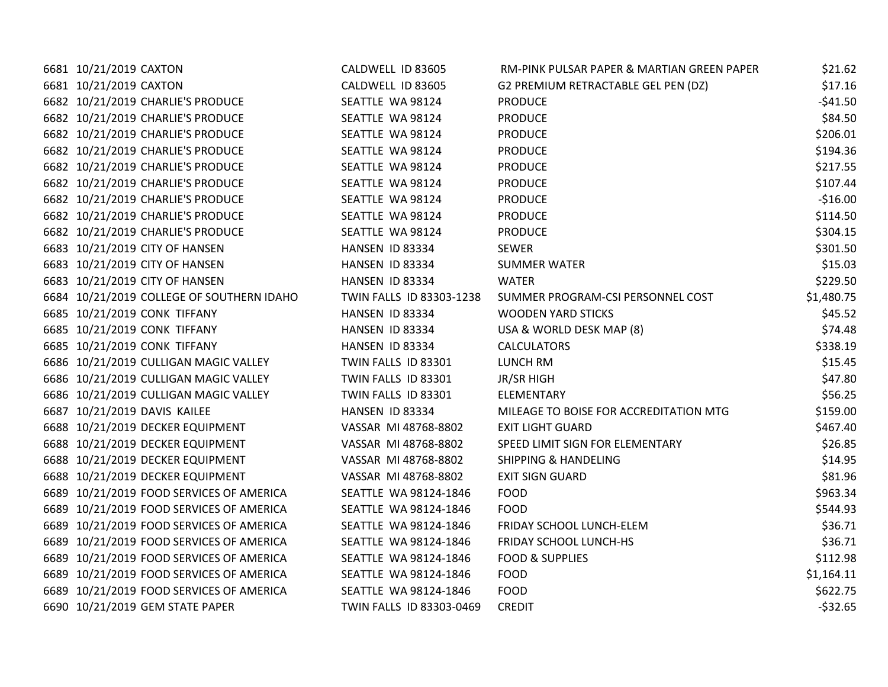| 6681 10/21/2019 CAXTON                    | CALDWELL ID 83605        | RM-PINK PULSAR PAPER & MARTIAN GREEN PAPER | \$21.62     |
|-------------------------------------------|--------------------------|--------------------------------------------|-------------|
| 6681 10/21/2019 CAXTON                    | CALDWELL ID 83605        | G2 PREMIUM RETRACTABLE GEL PEN (DZ)        | \$17.16     |
| 6682 10/21/2019 CHARLIE'S PRODUCE         | SEATTLE WA 98124         | <b>PRODUCE</b>                             | $-$ \$41.50 |
| 6682 10/21/2019 CHARLIE'S PRODUCE         | SEATTLE WA 98124         | <b>PRODUCE</b>                             | \$84.50     |
| 6682 10/21/2019 CHARLIE'S PRODUCE         | SEATTLE WA 98124         | <b>PRODUCE</b>                             | \$206.01    |
| 6682 10/21/2019 CHARLIE'S PRODUCE         | SEATTLE WA 98124         | <b>PRODUCE</b>                             | \$194.36    |
| 6682 10/21/2019 CHARLIE'S PRODUCE         | SEATTLE WA 98124         | <b>PRODUCE</b>                             | \$217.55    |
| 6682 10/21/2019 CHARLIE'S PRODUCE         | SEATTLE WA 98124         | <b>PRODUCE</b>                             | \$107.44    |
| 6682 10/21/2019 CHARLIE'S PRODUCE         | SEATTLE WA 98124         | <b>PRODUCE</b>                             | $-516.00$   |
| 6682 10/21/2019 CHARLIE'S PRODUCE         | SEATTLE WA 98124         | <b>PRODUCE</b>                             | \$114.50    |
| 6682 10/21/2019 CHARLIE'S PRODUCE         | SEATTLE WA 98124         | <b>PRODUCE</b>                             | \$304.15    |
| 6683 10/21/2019 CITY OF HANSEN            | HANSEN ID 83334          | SEWER                                      | \$301.50    |
| 6683 10/21/2019 CITY OF HANSEN            | HANSEN ID 83334          | <b>SUMMER WATER</b>                        | \$15.03     |
| 6683 10/21/2019 CITY OF HANSEN            | HANSEN ID 83334          | WATER                                      | \$229.50    |
| 6684 10/21/2019 COLLEGE OF SOUTHERN IDAHO | TWIN FALLS ID 83303-1238 | SUMMER PROGRAM-CSI PERSONNEL COST          | \$1,480.75  |
| 6685 10/21/2019 CONK TIFFANY              | HANSEN ID 83334          | <b>WOODEN YARD STICKS</b>                  | \$45.52     |
| 6685 10/21/2019 CONK TIFFANY              | HANSEN ID 83334          | USA & WORLD DESK MAP (8)                   | \$74.48     |
| 6685 10/21/2019 CONK TIFFANY              | HANSEN ID 83334          | <b>CALCULATORS</b>                         | \$338.19    |
| 6686 10/21/2019 CULLIGAN MAGIC VALLEY     | TWIN FALLS ID 83301      | LUNCH RM                                   | \$15.45     |
| 6686 10/21/2019 CULLIGAN MAGIC VALLEY     | TWIN FALLS ID 83301      | JR/SR HIGH                                 | \$47.80     |
| 6686 10/21/2019 CULLIGAN MAGIC VALLEY     | TWIN FALLS ID 83301      | ELEMENTARY                                 | \$56.25     |
| 6687 10/21/2019 DAVIS KAILEE              | HANSEN ID 83334          | MILEAGE TO BOISE FOR ACCREDITATION MTG     | \$159.00    |
| 6688 10/21/2019 DECKER EQUIPMENT          | VASSAR MI 48768-8802     | <b>EXIT LIGHT GUARD</b>                    | \$467.40    |
| 6688 10/21/2019 DECKER EQUIPMENT          | VASSAR MI 48768-8802     | SPEED LIMIT SIGN FOR ELEMENTARY            | \$26.85     |
| 6688 10/21/2019 DECKER EQUIPMENT          | VASSAR MI 48768-8802     | <b>SHIPPING &amp; HANDELING</b>            | \$14.95     |
| 6688 10/21/2019 DECKER EQUIPMENT          | VASSAR MI 48768-8802     | <b>EXIT SIGN GUARD</b>                     | \$81.96     |
| 6689 10/21/2019 FOOD SERVICES OF AMERICA  | SEATTLE WA 98124-1846    | <b>FOOD</b>                                | \$963.34    |
| 6689 10/21/2019 FOOD SERVICES OF AMERICA  | SEATTLE WA 98124-1846    | <b>FOOD</b>                                | \$544.93    |
| 6689 10/21/2019 FOOD SERVICES OF AMERICA  | SEATTLE WA 98124-1846    | FRIDAY SCHOOL LUNCH-ELEM                   | \$36.71     |
| 6689 10/21/2019 FOOD SERVICES OF AMERICA  | SEATTLE WA 98124-1846    | FRIDAY SCHOOL LUNCH-HS                     | \$36.71     |
| 6689 10/21/2019 FOOD SERVICES OF AMERICA  | SEATTLE WA 98124-1846    | <b>FOOD &amp; SUPPLIES</b>                 | \$112.98    |
| 6689 10/21/2019 FOOD SERVICES OF AMERICA  | SEATTLE WA 98124-1846    | <b>FOOD</b>                                | \$1,164.11  |
| 6689 10/21/2019 FOOD SERVICES OF AMERICA  | SEATTLE WA 98124-1846    | <b>FOOD</b>                                | \$622.75    |
| 6690 10/21/2019 GEM STATE PAPER           | TWIN FALLS ID 83303-0469 | <b>CREDIT</b>                              | $-532.65$   |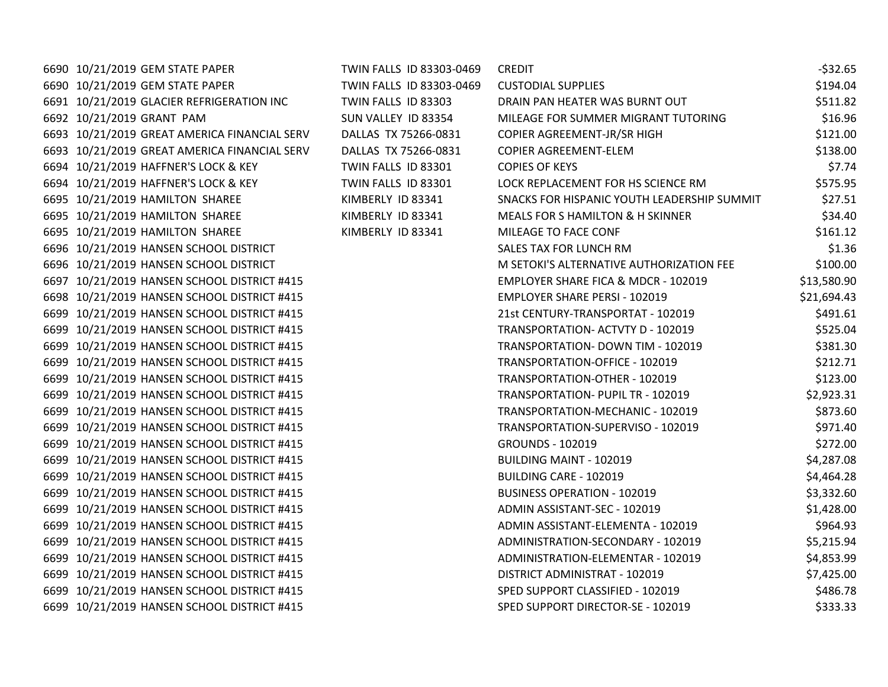| 6690 10/21/2019 GEM STATE PAPER              | TWIN FALLS ID 83303-0469 | <b>CREDIT</b>                               | $-532.65$   |
|----------------------------------------------|--------------------------|---------------------------------------------|-------------|
| 6690 10/21/2019 GEM STATE PAPER              | TWIN FALLS ID 83303-0469 | <b>CUSTODIAL SUPPLIES</b>                   | \$194.04    |
| 6691 10/21/2019 GLACIER REFRIGERATION INC    | TWIN FALLS ID 83303      | DRAIN PAN HEATER WAS BURNT OUT              | \$511.82    |
| 6692 10/21/2019 GRANT PAM                    | SUN VALLEY ID 83354      | MILEAGE FOR SUMMER MIGRANT TUTORING         | \$16.96     |
| 6693 10/21/2019 GREAT AMERICA FINANCIAL SERV | DALLAS TX 75266-0831     | COPIER AGREEMENT-JR/SR HIGH                 | \$121.00    |
| 6693 10/21/2019 GREAT AMERICA FINANCIAL SERV | DALLAS TX 75266-0831     | <b>COPIER AGREEMENT-ELEM</b>                | \$138.00    |
| 6694 10/21/2019 HAFFNER'S LOCK & KEY         | TWIN FALLS ID 83301      | <b>COPIES OF KEYS</b>                       | \$7.74      |
| 6694 10/21/2019 HAFFNER'S LOCK & KEY         | TWIN FALLS ID 83301      | LOCK REPLACEMENT FOR HS SCIENCE RM          | \$575.95    |
| 6695 10/21/2019 HAMILTON SHAREE              | KIMBERLY ID 83341        | SNACKS FOR HISPANIC YOUTH LEADERSHIP SUMMIT | \$27.51     |
| 6695 10/21/2019 HAMILTON SHAREE              | KIMBERLY ID 83341        | MEALS FOR S HAMILTON & H SKINNER            | \$34.40     |
| 6695 10/21/2019 HAMILTON SHAREE              | KIMBERLY ID 83341        | MILEAGE TO FACE CONF                        | \$161.12    |
| 6696 10/21/2019 HANSEN SCHOOL DISTRICT       |                          | SALES TAX FOR LUNCH RM                      | \$1.36      |
| 6696 10/21/2019 HANSEN SCHOOL DISTRICT       |                          | M SETOKI'S ALTERNATIVE AUTHORIZATION FEE    | \$100.00    |
| 6697 10/21/2019 HANSEN SCHOOL DISTRICT #415  |                          | EMPLOYER SHARE FICA & MDCR - 102019         | \$13,580.90 |
| 6698 10/21/2019 HANSEN SCHOOL DISTRICT #415  |                          | <b>EMPLOYER SHARE PERSI - 102019</b>        | \$21,694.43 |
| 6699 10/21/2019 HANSEN SCHOOL DISTRICT #415  |                          | 21st CENTURY-TRANSPORTAT - 102019           | \$491.61    |
| 6699 10/21/2019 HANSEN SCHOOL DISTRICT #415  |                          | TRANSPORTATION- ACTVTY D - 102019           | \$525.04    |
| 6699 10/21/2019 HANSEN SCHOOL DISTRICT #415  |                          | TRANSPORTATION- DOWN TIM - 102019           | \$381.30    |
| 6699 10/21/2019 HANSEN SCHOOL DISTRICT #415  |                          | TRANSPORTATION-OFFICE - 102019              | \$212.71    |
| 6699 10/21/2019 HANSEN SCHOOL DISTRICT #415  |                          | TRANSPORTATION-OTHER - 102019               | \$123.00    |
| 6699 10/21/2019 HANSEN SCHOOL DISTRICT #415  |                          | TRANSPORTATION- PUPIL TR - 102019           | \$2,923.31  |
| 6699 10/21/2019 HANSEN SCHOOL DISTRICT #415  |                          | TRANSPORTATION-MECHANIC - 102019            | \$873.60    |
| 6699 10/21/2019 HANSEN SCHOOL DISTRICT #415  |                          | TRANSPORTATION-SUPERVISO - 102019           | \$971.40    |
| 6699 10/21/2019 HANSEN SCHOOL DISTRICT #415  |                          | <b>GROUNDS - 102019</b>                     | \$272.00    |
| 6699 10/21/2019 HANSEN SCHOOL DISTRICT #415  |                          | BUILDING MAINT - 102019                     | \$4,287.08  |
| 6699 10/21/2019 HANSEN SCHOOL DISTRICT #415  |                          | BUILDING CARE - 102019                      | \$4,464.28  |
| 6699 10/21/2019 HANSEN SCHOOL DISTRICT #415  |                          | <b>BUSINESS OPERATION - 102019</b>          | \$3,332.60  |
| 6699 10/21/2019 HANSEN SCHOOL DISTRICT #415  |                          | ADMIN ASSISTANT-SEC - 102019                | \$1,428.00  |
| 6699 10/21/2019 HANSEN SCHOOL DISTRICT #415  |                          | ADMIN ASSISTANT-ELEMENTA - 102019           | \$964.93    |
| 6699 10/21/2019 HANSEN SCHOOL DISTRICT #415  |                          | ADMINISTRATION-SECONDARY - 102019           | \$5,215.94  |
| 6699 10/21/2019 HANSEN SCHOOL DISTRICT #415  |                          | ADMINISTRATION-ELEMENTAR - 102019           | \$4,853.99  |
| 6699 10/21/2019 HANSEN SCHOOL DISTRICT #415  |                          | DISTRICT ADMINISTRAT - 102019               | \$7,425.00  |
| 6699 10/21/2019 HANSEN SCHOOL DISTRICT #415  |                          | SPED SUPPORT CLASSIFIED - 102019            | \$486.78    |
| 6699 10/21/2019 HANSEN SCHOOL DISTRICT #415  |                          | SPED SUPPORT DIRECTOR-SE - 102019           | \$333.33    |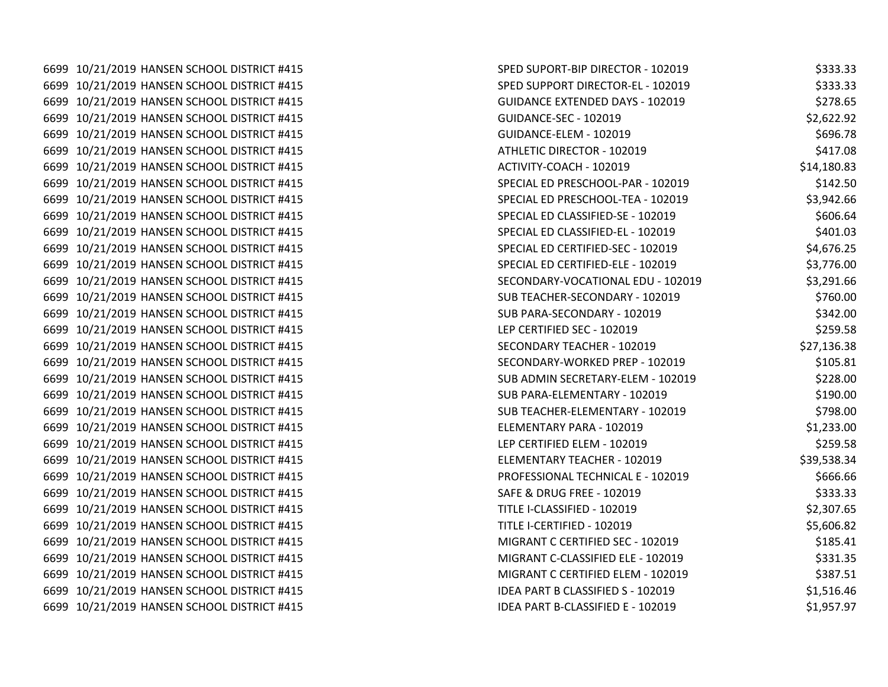| SPED SUPORT-BIP DIRECTOR - 102019                                                                                                                                                                                                                                                                                                                                                                                                                                                                                                                                                                                                                                                                                                                                                                                                                                                                                                                                                                                                                                                                                                                                                                                                                                                                                                                                                                                                                                                                                                                                                                                                                          | \$333.33    |
|------------------------------------------------------------------------------------------------------------------------------------------------------------------------------------------------------------------------------------------------------------------------------------------------------------------------------------------------------------------------------------------------------------------------------------------------------------------------------------------------------------------------------------------------------------------------------------------------------------------------------------------------------------------------------------------------------------------------------------------------------------------------------------------------------------------------------------------------------------------------------------------------------------------------------------------------------------------------------------------------------------------------------------------------------------------------------------------------------------------------------------------------------------------------------------------------------------------------------------------------------------------------------------------------------------------------------------------------------------------------------------------------------------------------------------------------------------------------------------------------------------------------------------------------------------------------------------------------------------------------------------------------------------|-------------|
| SPED SUPPORT DIRECTOR-EL - 102019                                                                                                                                                                                                                                                                                                                                                                                                                                                                                                                                                                                                                                                                                                                                                                                                                                                                                                                                                                                                                                                                                                                                                                                                                                                                                                                                                                                                                                                                                                                                                                                                                          | \$333.33    |
| <b>GUIDANCE EXTENDED DAYS - 102019</b>                                                                                                                                                                                                                                                                                                                                                                                                                                                                                                                                                                                                                                                                                                                                                                                                                                                                                                                                                                                                                                                                                                                                                                                                                                                                                                                                                                                                                                                                                                                                                                                                                     | \$278.65    |
| GUIDANCE-SEC - 102019                                                                                                                                                                                                                                                                                                                                                                                                                                                                                                                                                                                                                                                                                                                                                                                                                                                                                                                                                                                                                                                                                                                                                                                                                                                                                                                                                                                                                                                                                                                                                                                                                                      | \$2,622.92  |
| GUIDANCE-ELEM - 102019                                                                                                                                                                                                                                                                                                                                                                                                                                                                                                                                                                                                                                                                                                                                                                                                                                                                                                                                                                                                                                                                                                                                                                                                                                                                                                                                                                                                                                                                                                                                                                                                                                     | \$696.78    |
| ATHLETIC DIRECTOR - 102019                                                                                                                                                                                                                                                                                                                                                                                                                                                                                                                                                                                                                                                                                                                                                                                                                                                                                                                                                                                                                                                                                                                                                                                                                                                                                                                                                                                                                                                                                                                                                                                                                                 | \$417.08    |
| ACTIVITY-COACH - 102019                                                                                                                                                                                                                                                                                                                                                                                                                                                                                                                                                                                                                                                                                                                                                                                                                                                                                                                                                                                                                                                                                                                                                                                                                                                                                                                                                                                                                                                                                                                                                                                                                                    | \$14,180.83 |
| SPECIAL ED PRESCHOOL-PAR - 102019                                                                                                                                                                                                                                                                                                                                                                                                                                                                                                                                                                                                                                                                                                                                                                                                                                                                                                                                                                                                                                                                                                                                                                                                                                                                                                                                                                                                                                                                                                                                                                                                                          | \$142.50    |
| SPECIAL ED PRESCHOOL-TEA - 102019                                                                                                                                                                                                                                                                                                                                                                                                                                                                                                                                                                                                                                                                                                                                                                                                                                                                                                                                                                                                                                                                                                                                                                                                                                                                                                                                                                                                                                                                                                                                                                                                                          | \$3,942.66  |
| SPECIAL ED CLASSIFIED-SE - 102019                                                                                                                                                                                                                                                                                                                                                                                                                                                                                                                                                                                                                                                                                                                                                                                                                                                                                                                                                                                                                                                                                                                                                                                                                                                                                                                                                                                                                                                                                                                                                                                                                          | \$606.64    |
| SPECIAL ED CLASSIFIED-EL - 102019                                                                                                                                                                                                                                                                                                                                                                                                                                                                                                                                                                                                                                                                                                                                                                                                                                                                                                                                                                                                                                                                                                                                                                                                                                                                                                                                                                                                                                                                                                                                                                                                                          | \$401.03    |
| SPECIAL ED CERTIFIED-SEC - 102019                                                                                                                                                                                                                                                                                                                                                                                                                                                                                                                                                                                                                                                                                                                                                                                                                                                                                                                                                                                                                                                                                                                                                                                                                                                                                                                                                                                                                                                                                                                                                                                                                          | \$4,676.25  |
| SPECIAL ED CERTIFIED-ELE - 102019                                                                                                                                                                                                                                                                                                                                                                                                                                                                                                                                                                                                                                                                                                                                                                                                                                                                                                                                                                                                                                                                                                                                                                                                                                                                                                                                                                                                                                                                                                                                                                                                                          | \$3,776.00  |
| SECONDARY-VOCATIONAL EDU - 102019                                                                                                                                                                                                                                                                                                                                                                                                                                                                                                                                                                                                                                                                                                                                                                                                                                                                                                                                                                                                                                                                                                                                                                                                                                                                                                                                                                                                                                                                                                                                                                                                                          | \$3,291.66  |
| SUB TEACHER-SECONDARY - 102019                                                                                                                                                                                                                                                                                                                                                                                                                                                                                                                                                                                                                                                                                                                                                                                                                                                                                                                                                                                                                                                                                                                                                                                                                                                                                                                                                                                                                                                                                                                                                                                                                             | \$760.00    |
| SUB PARA-SECONDARY - 102019                                                                                                                                                                                                                                                                                                                                                                                                                                                                                                                                                                                                                                                                                                                                                                                                                                                                                                                                                                                                                                                                                                                                                                                                                                                                                                                                                                                                                                                                                                                                                                                                                                | \$342.00    |
| LEP CERTIFIED SEC - 102019                                                                                                                                                                                                                                                                                                                                                                                                                                                                                                                                                                                                                                                                                                                                                                                                                                                                                                                                                                                                                                                                                                                                                                                                                                                                                                                                                                                                                                                                                                                                                                                                                                 | \$259.58    |
| SECONDARY TEACHER - 102019                                                                                                                                                                                                                                                                                                                                                                                                                                                                                                                                                                                                                                                                                                                                                                                                                                                                                                                                                                                                                                                                                                                                                                                                                                                                                                                                                                                                                                                                                                                                                                                                                                 | \$27,136.38 |
| SECONDARY-WORKED PREP - 102019                                                                                                                                                                                                                                                                                                                                                                                                                                                                                                                                                                                                                                                                                                                                                                                                                                                                                                                                                                                                                                                                                                                                                                                                                                                                                                                                                                                                                                                                                                                                                                                                                             | \$105.81    |
| SUB ADMIN SECRETARY-ELEM - 102019                                                                                                                                                                                                                                                                                                                                                                                                                                                                                                                                                                                                                                                                                                                                                                                                                                                                                                                                                                                                                                                                                                                                                                                                                                                                                                                                                                                                                                                                                                                                                                                                                          | \$228.00    |
| SUB PARA-ELEMENTARY - 102019                                                                                                                                                                                                                                                                                                                                                                                                                                                                                                                                                                                                                                                                                                                                                                                                                                                                                                                                                                                                                                                                                                                                                                                                                                                                                                                                                                                                                                                                                                                                                                                                                               | \$190.00    |
| SUB TEACHER-ELEMENTARY - 102019                                                                                                                                                                                                                                                                                                                                                                                                                                                                                                                                                                                                                                                                                                                                                                                                                                                                                                                                                                                                                                                                                                                                                                                                                                                                                                                                                                                                                                                                                                                                                                                                                            | \$798.00    |
| ELEMENTARY PARA - 102019                                                                                                                                                                                                                                                                                                                                                                                                                                                                                                                                                                                                                                                                                                                                                                                                                                                                                                                                                                                                                                                                                                                                                                                                                                                                                                                                                                                                                                                                                                                                                                                                                                   | \$1,233.00  |
| LEP CERTIFIED ELEM - 102019                                                                                                                                                                                                                                                                                                                                                                                                                                                                                                                                                                                                                                                                                                                                                                                                                                                                                                                                                                                                                                                                                                                                                                                                                                                                                                                                                                                                                                                                                                                                                                                                                                | \$259.58    |
| ELEMENTARY TEACHER - 102019                                                                                                                                                                                                                                                                                                                                                                                                                                                                                                                                                                                                                                                                                                                                                                                                                                                                                                                                                                                                                                                                                                                                                                                                                                                                                                                                                                                                                                                                                                                                                                                                                                | \$39,538.34 |
| PROFESSIONAL TECHNICAL E - 102019                                                                                                                                                                                                                                                                                                                                                                                                                                                                                                                                                                                                                                                                                                                                                                                                                                                                                                                                                                                                                                                                                                                                                                                                                                                                                                                                                                                                                                                                                                                                                                                                                          | \$666.66    |
| <b>SAFE &amp; DRUG FREE - 102019</b>                                                                                                                                                                                                                                                                                                                                                                                                                                                                                                                                                                                                                                                                                                                                                                                                                                                                                                                                                                                                                                                                                                                                                                                                                                                                                                                                                                                                                                                                                                                                                                                                                       | \$333.33    |
| TITLE I-CLASSIFIED - 102019                                                                                                                                                                                                                                                                                                                                                                                                                                                                                                                                                                                                                                                                                                                                                                                                                                                                                                                                                                                                                                                                                                                                                                                                                                                                                                                                                                                                                                                                                                                                                                                                                                | \$2,307.65  |
| TITLE I-CERTIFIED - 102019                                                                                                                                                                                                                                                                                                                                                                                                                                                                                                                                                                                                                                                                                                                                                                                                                                                                                                                                                                                                                                                                                                                                                                                                                                                                                                                                                                                                                                                                                                                                                                                                                                 | \$5,606.82  |
| MIGRANT C CERTIFIED SEC - 102019                                                                                                                                                                                                                                                                                                                                                                                                                                                                                                                                                                                                                                                                                                                                                                                                                                                                                                                                                                                                                                                                                                                                                                                                                                                                                                                                                                                                                                                                                                                                                                                                                           | \$185.41    |
| MIGRANT C-CLASSIFIED ELE - 102019                                                                                                                                                                                                                                                                                                                                                                                                                                                                                                                                                                                                                                                                                                                                                                                                                                                                                                                                                                                                                                                                                                                                                                                                                                                                                                                                                                                                                                                                                                                                                                                                                          | \$331.35    |
| MIGRANT C CERTIFIED ELEM - 102019                                                                                                                                                                                                                                                                                                                                                                                                                                                                                                                                                                                                                                                                                                                                                                                                                                                                                                                                                                                                                                                                                                                                                                                                                                                                                                                                                                                                                                                                                                                                                                                                                          | \$387.51    |
| IDEA PART B CLASSIFIED S - 102019                                                                                                                                                                                                                                                                                                                                                                                                                                                                                                                                                                                                                                                                                                                                                                                                                                                                                                                                                                                                                                                                                                                                                                                                                                                                                                                                                                                                                                                                                                                                                                                                                          | \$1,516.46  |
| IDEA PART B-CLASSIFIED E - 102019                                                                                                                                                                                                                                                                                                                                                                                                                                                                                                                                                                                                                                                                                                                                                                                                                                                                                                                                                                                                                                                                                                                                                                                                                                                                                                                                                                                                                                                                                                                                                                                                                          | \$1,957.97  |
| 6699 10/21/2019 HANSEN SCHOOL DISTRICT #415<br>6699 10/21/2019 HANSEN SCHOOL DISTRICT #415<br>6699 10/21/2019 HANSEN SCHOOL DISTRICT #415<br>6699 10/21/2019 HANSEN SCHOOL DISTRICT #415<br>6699 10/21/2019 HANSEN SCHOOL DISTRICT #415<br>6699 10/21/2019 HANSEN SCHOOL DISTRICT #415<br>6699 10/21/2019 HANSEN SCHOOL DISTRICT #415<br>6699 10/21/2019 HANSEN SCHOOL DISTRICT #415<br>6699 10/21/2019 HANSEN SCHOOL DISTRICT #415<br>6699 10/21/2019 HANSEN SCHOOL DISTRICT #415<br>6699 10/21/2019 HANSEN SCHOOL DISTRICT #415<br>6699 10/21/2019 HANSEN SCHOOL DISTRICT #415<br>6699 10/21/2019 HANSEN SCHOOL DISTRICT #415<br>6699 10/21/2019 HANSEN SCHOOL DISTRICT #415<br>6699 10/21/2019 HANSEN SCHOOL DISTRICT #415<br>6699 10/21/2019 HANSEN SCHOOL DISTRICT #415<br>6699 10/21/2019 HANSEN SCHOOL DISTRICT #415<br>6699 10/21/2019 HANSEN SCHOOL DISTRICT #415<br>6699 10/21/2019 HANSEN SCHOOL DISTRICT #415<br>6699 10/21/2019 HANSEN SCHOOL DISTRICT #415<br>6699 10/21/2019 HANSEN SCHOOL DISTRICT #415<br>6699 10/21/2019 HANSEN SCHOOL DISTRICT #415<br>6699 10/21/2019 HANSEN SCHOOL DISTRICT #415<br>6699 10/21/2019 HANSEN SCHOOL DISTRICT #415<br>6699 10/21/2019 HANSEN SCHOOL DISTRICT #415<br>6699 10/21/2019 HANSEN SCHOOL DISTRICT #415<br>6699 10/21/2019 HANSEN SCHOOL DISTRICT #415<br>6699 10/21/2019 HANSEN SCHOOL DISTRICT #415<br>6699 10/21/2019 HANSEN SCHOOL DISTRICT #415<br>6699 10/21/2019 HANSEN SCHOOL DISTRICT #415<br>6699 10/21/2019 HANSEN SCHOOL DISTRICT #415<br>6699 10/21/2019 HANSEN SCHOOL DISTRICT #415<br>6699 10/21/2019 HANSEN SCHOOL DISTRICT #415<br>6699 10/21/2019 HANSEN SCHOOL DISTRICT #415 |             |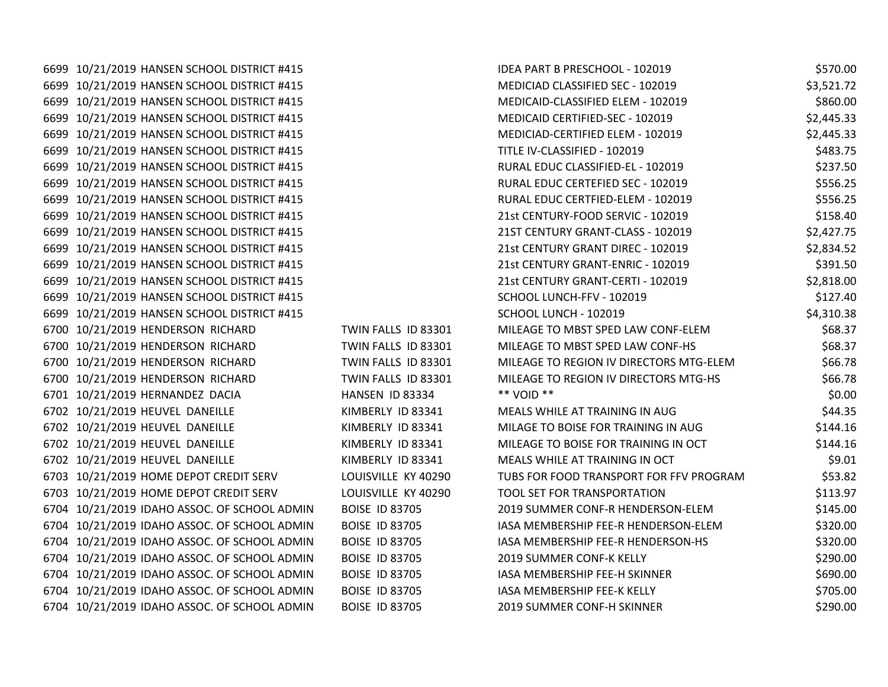| 6699 10/21/2019 HANSEN SCHOOL DISTRICT #415  |                       | IDEA PART B PRESCHOOL - 102019          | \$570.00   |
|----------------------------------------------|-----------------------|-----------------------------------------|------------|
| 6699 10/21/2019 HANSEN SCHOOL DISTRICT #415  |                       | MEDICIAD CLASSIFIED SEC - 102019        | \$3,521.72 |
| 6699 10/21/2019 HANSEN SCHOOL DISTRICT #415  |                       | MEDICAID-CLASSIFIED ELEM - 102019       | \$860.00   |
| 6699 10/21/2019 HANSEN SCHOOL DISTRICT #415  |                       | MEDICAID CERTIFIED-SEC - 102019         | \$2,445.33 |
| 6699 10/21/2019 HANSEN SCHOOL DISTRICT #415  |                       | MEDICIAD-CERTIFIED ELEM - 102019        | \$2,445.33 |
| 6699 10/21/2019 HANSEN SCHOOL DISTRICT #415  |                       | TITLE IV-CLASSIFIED - 102019            | \$483.75   |
| 6699 10/21/2019 HANSEN SCHOOL DISTRICT #415  |                       | RURAL EDUC CLASSIFIED-EL - 102019       | \$237.50   |
| 6699 10/21/2019 HANSEN SCHOOL DISTRICT #415  |                       | RURAL EDUC CERTEFIED SEC - 102019       | \$556.25   |
| 6699 10/21/2019 HANSEN SCHOOL DISTRICT #415  |                       | RURAL EDUC CERTFIED-ELEM - 102019       | \$556.25   |
| 6699 10/21/2019 HANSEN SCHOOL DISTRICT #415  |                       | 21st CENTURY-FOOD SERVIC - 102019       | \$158.40   |
| 6699 10/21/2019 HANSEN SCHOOL DISTRICT #415  |                       | 21ST CENTURY GRANT-CLASS - 102019       | \$2,427.75 |
| 6699 10/21/2019 HANSEN SCHOOL DISTRICT #415  |                       | 21st CENTURY GRANT DIREC - 102019       | \$2,834.52 |
| 6699 10/21/2019 HANSEN SCHOOL DISTRICT #415  |                       | 21st CENTURY GRANT-ENRIC - 102019       | \$391.50   |
| 6699 10/21/2019 HANSEN SCHOOL DISTRICT #415  |                       | 21st CENTURY GRANT-CERTI - 102019       | \$2,818.00 |
| 6699 10/21/2019 HANSEN SCHOOL DISTRICT #415  |                       | SCHOOL LUNCH-FFV - 102019               | \$127.40   |
| 6699 10/21/2019 HANSEN SCHOOL DISTRICT #415  |                       | SCHOOL LUNCH - 102019                   | \$4,310.38 |
| 6700 10/21/2019 HENDERSON RICHARD            | TWIN FALLS ID 83301   | MILEAGE TO MBST SPED LAW CONF-ELEM      | \$68.37    |
| 6700 10/21/2019 HENDERSON RICHARD            | TWIN FALLS ID 83301   | MILEAGE TO MBST SPED LAW CONF-HS        | \$68.37    |
| 6700 10/21/2019 HENDERSON RICHARD            | TWIN FALLS ID 83301   | MILEAGE TO REGION IV DIRECTORS MTG-ELEM | \$66.78    |
| 6700 10/21/2019 HENDERSON RICHARD            | TWIN FALLS ID 83301   | MILEAGE TO REGION IV DIRECTORS MTG-HS   | \$66.78    |
| 6701 10/21/2019 HERNANDEZ DACIA              | HANSEN ID 83334       | ** VOID **                              | \$0.00     |
| 6702 10/21/2019 HEUVEL DANEILLE              | KIMBERLY ID 83341     | MEALS WHILE AT TRAINING IN AUG          | \$44.35    |
| 6702 10/21/2019 HEUVEL DANEILLE              | KIMBERLY ID 83341     | MILAGE TO BOISE FOR TRAINING IN AUG     | \$144.16   |
| 6702 10/21/2019 HEUVEL DANEILLE              | KIMBERLY ID 83341     | MILEAGE TO BOISE FOR TRAINING IN OCT    | \$144.16   |
| 6702 10/21/2019 HEUVEL DANEILLE              | KIMBERLY ID 83341     | MEALS WHILE AT TRAINING IN OCT          | \$9.01     |
| 6703 10/21/2019 HOME DEPOT CREDIT SERV       | LOUISVILLE KY 40290   | TUBS FOR FOOD TRANSPORT FOR FFV PROGRAM | \$53.82    |
| 6703 10/21/2019 HOME DEPOT CREDIT SERV       | LOUISVILLE KY 40290   | TOOL SET FOR TRANSPORTATION             | \$113.97   |
| 6704 10/21/2019 IDAHO ASSOC. OF SCHOOL ADMIN | <b>BOISE ID 83705</b> | 2019 SUMMER CONF-R HENDERSON-ELEM       | \$145.00   |
| 6704 10/21/2019 IDAHO ASSOC. OF SCHOOL ADMIN | <b>BOISE ID 83705</b> | IASA MEMBERSHIP FEE-R HENDERSON-ELEM    | \$320.00   |
| 6704 10/21/2019 IDAHO ASSOC. OF SCHOOL ADMIN | <b>BOISE ID 83705</b> | IASA MEMBERSHIP FEE-R HENDERSON-HS      | \$320.00   |
| 6704 10/21/2019 IDAHO ASSOC. OF SCHOOL ADMIN | <b>BOISE ID 83705</b> | 2019 SUMMER CONF-K KELLY                | \$290.00   |
| 6704 10/21/2019 IDAHO ASSOC. OF SCHOOL ADMIN | <b>BOISE ID 83705</b> | IASA MEMBERSHIP FEE-H SKINNER           | \$690.00   |
| 6704 10/21/2019 IDAHO ASSOC. OF SCHOOL ADMIN | <b>BOISE ID 83705</b> | IASA MEMBERSHIP FEE-K KELLY             | \$705.00   |
| 6704 10/21/2019 IDAHO ASSOC. OF SCHOOL ADMIN | <b>BOISE ID 83705</b> | 2019 SUMMER CONF-H SKINNER              | \$290.00   |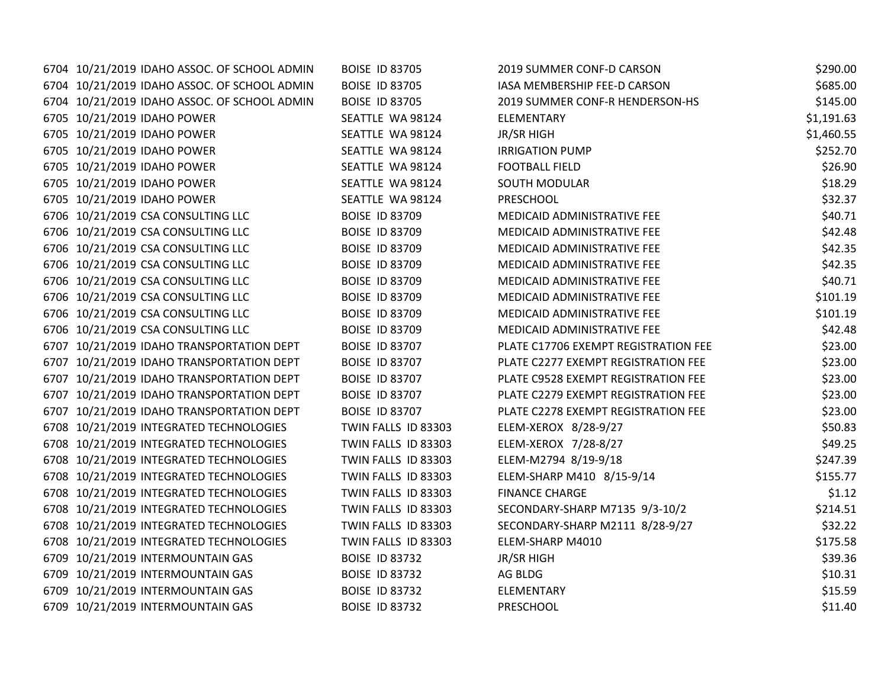| 6704 10/21/2019 IDAHO ASSOC. OF SCHOOL ADMIN | <b>BOISE ID 83705</b> | 2019 SUMMER CONF-D CARSON            | \$290.00   |
|----------------------------------------------|-----------------------|--------------------------------------|------------|
| 6704 10/21/2019 IDAHO ASSOC. OF SCHOOL ADMIN | <b>BOISE ID 83705</b> | IASA MEMBERSHIP FEE-D CARSON         | \$685.00   |
| 6704 10/21/2019 IDAHO ASSOC. OF SCHOOL ADMIN | <b>BOISE ID 83705</b> | 2019 SUMMER CONF-R HENDERSON-HS      | \$145.00   |
| 6705 10/21/2019 IDAHO POWER                  | SEATTLE WA 98124      | <b>ELEMENTARY</b>                    | \$1,191.63 |
| 6705 10/21/2019 IDAHO POWER                  | SEATTLE WA 98124      | JR/SR HIGH                           | \$1,460.55 |
| 6705 10/21/2019 IDAHO POWER                  | SEATTLE WA 98124      | <b>IRRIGATION PUMP</b>               | \$252.70   |
| 6705 10/21/2019 IDAHO POWER                  | SEATTLE WA 98124      | <b>FOOTBALL FIELD</b>                | \$26.90    |
| 6705 10/21/2019 IDAHO POWER                  | SEATTLE WA 98124      | <b>SOUTH MODULAR</b>                 | \$18.29    |
| 6705 10/21/2019 IDAHO POWER                  | SEATTLE WA 98124      | <b>PRESCHOOL</b>                     | \$32.37    |
| 6706 10/21/2019 CSA CONSULTING LLC           | <b>BOISE ID 83709</b> | MEDICAID ADMINISTRATIVE FEE          | \$40.71    |
| 6706 10/21/2019 CSA CONSULTING LLC           | <b>BOISE ID 83709</b> | MEDICAID ADMINISTRATIVE FEE          | \$42.48    |
| 6706 10/21/2019 CSA CONSULTING LLC           | <b>BOISE ID 83709</b> | MEDICAID ADMINISTRATIVE FEE          | \$42.35    |
| 6706 10/21/2019 CSA CONSULTING LLC           | <b>BOISE ID 83709</b> | MEDICAID ADMINISTRATIVE FEE          | \$42.35    |
| 6706 10/21/2019 CSA CONSULTING LLC           | <b>BOISE ID 83709</b> | MEDICAID ADMINISTRATIVE FEE          | \$40.71    |
| 6706 10/21/2019 CSA CONSULTING LLC           | <b>BOISE ID 83709</b> | MEDICAID ADMINISTRATIVE FEE          | \$101.19   |
| 6706 10/21/2019 CSA CONSULTING LLC           | <b>BOISE ID 83709</b> | MEDICAID ADMINISTRATIVE FEE          | \$101.19   |
| 6706 10/21/2019 CSA CONSULTING LLC           | <b>BOISE ID 83709</b> | MEDICAID ADMINISTRATIVE FEE          | \$42.48    |
| 6707 10/21/2019 IDAHO TRANSPORTATION DEPT    | <b>BOISE ID 83707</b> | PLATE C17706 EXEMPT REGISTRATION FEE | \$23.00    |
| 6707 10/21/2019 IDAHO TRANSPORTATION DEPT    | <b>BOISE ID 83707</b> | PLATE C2277 EXEMPT REGISTRATION FEE  | \$23.00    |
| 6707 10/21/2019 IDAHO TRANSPORTATION DEPT    | <b>BOISE ID 83707</b> | PLATE C9528 EXEMPT REGISTRATION FEE  | \$23.00    |
| 6707 10/21/2019 IDAHO TRANSPORTATION DEPT    | <b>BOISE ID 83707</b> | PLATE C2279 EXEMPT REGISTRATION FEE  | \$23.00    |
| 6707 10/21/2019 IDAHO TRANSPORTATION DEPT    | <b>BOISE ID 83707</b> | PLATE C2278 EXEMPT REGISTRATION FEE  | \$23.00    |
| 6708 10/21/2019 INTEGRATED TECHNOLOGIES      | TWIN FALLS ID 83303   | ELEM-XEROX 8/28-9/27                 | \$50.83    |
| 6708 10/21/2019 INTEGRATED TECHNOLOGIES      | TWIN FALLS ID 83303   | ELEM-XEROX 7/28-8/27                 | \$49.25    |
| 6708 10/21/2019 INTEGRATED TECHNOLOGIES      | TWIN FALLS ID 83303   | ELEM-M2794 8/19-9/18                 | \$247.39   |
| 6708 10/21/2019 INTEGRATED TECHNOLOGIES      | TWIN FALLS ID 83303   | ELEM-SHARP M410 8/15-9/14            | \$155.77   |
| 6708 10/21/2019 INTEGRATED TECHNOLOGIES      | TWIN FALLS ID 83303   | <b>FINANCE CHARGE</b>                | \$1.12     |
| 6708 10/21/2019 INTEGRATED TECHNOLOGIES      | TWIN FALLS ID 83303   | SECONDARY-SHARP M7135 9/3-10/2       | \$214.51   |
| 6708 10/21/2019 INTEGRATED TECHNOLOGIES      | TWIN FALLS ID 83303   | SECONDARY-SHARP M2111 8/28-9/27      | \$32.22    |
| 6708 10/21/2019 INTEGRATED TECHNOLOGIES      | TWIN FALLS ID 83303   | ELEM-SHARP M4010                     | \$175.58   |
| 6709 10/21/2019 INTERMOUNTAIN GAS            | <b>BOISE ID 83732</b> | JR/SR HIGH                           | \$39.36    |
| 6709 10/21/2019 INTERMOUNTAIN GAS            | <b>BOISE ID 83732</b> | AG BLDG                              | \$10.31    |
| 6709 10/21/2019 INTERMOUNTAIN GAS            | <b>BOISE ID 83732</b> | ELEMENTARY                           | \$15.59    |
| 6709 10/21/2019 INTERMOUNTAIN GAS            | <b>BOISE ID 83732</b> | PRESCHOOL                            | \$11.40    |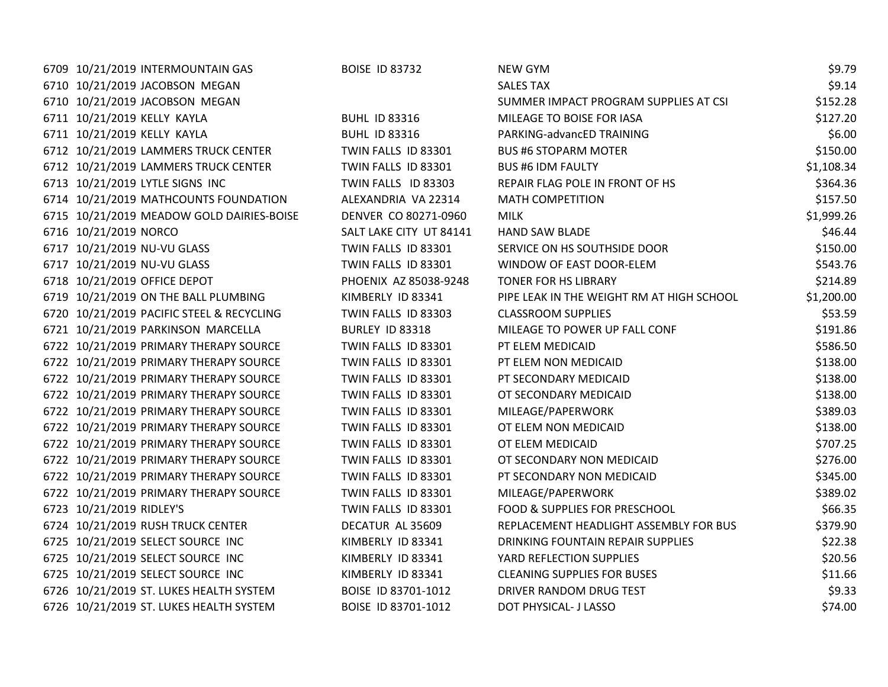| 6709 10/21/2019 INTERMOUNTAIN GAS         | <b>BOISE ID 83732</b>   | <b>NEW GYM</b>                            | \$9.79     |
|-------------------------------------------|-------------------------|-------------------------------------------|------------|
| 6710 10/21/2019 JACOBSON MEGAN            |                         | <b>SALES TAX</b>                          | \$9.14     |
| 6710 10/21/2019 JACOBSON MEGAN            |                         | SUMMER IMPACT PROGRAM SUPPLIES AT CSI     | \$152.28   |
| 6711 10/21/2019 KELLY KAYLA               | <b>BUHL ID 83316</b>    | MILEAGE TO BOISE FOR IASA                 | \$127.20   |
| 6711 10/21/2019 KELLY KAYLA               | <b>BUHL ID 83316</b>    | PARKING-advancED TRAINING                 | \$6.00     |
| 6712 10/21/2019 LAMMERS TRUCK CENTER      | TWIN FALLS ID 83301     | <b>BUS #6 STOPARM MOTER</b>               | \$150.00   |
| 6712 10/21/2019 LAMMERS TRUCK CENTER      | TWIN FALLS ID 83301     | <b>BUS #6 IDM FAULTY</b>                  | \$1,108.34 |
| 6713 10/21/2019 LYTLE SIGNS INC           | TWIN FALLS ID 83303     | REPAIR FLAG POLE IN FRONT OF HS           | \$364.36   |
| 6714 10/21/2019 MATHCOUNTS FOUNDATION     | ALEXANDRIA VA 22314     | <b>MATH COMPETITION</b>                   | \$157.50   |
| 6715 10/21/2019 MEADOW GOLD DAIRIES-BOISE | DENVER CO 80271-0960    | MILK                                      | \$1,999.26 |
| 6716 10/21/2019 NORCO                     | SALT LAKE CITY UT 84141 | <b>HAND SAW BLADE</b>                     | \$46.44    |
| 6717 10/21/2019 NU-VU GLASS               | TWIN FALLS ID 83301     | SERVICE ON HS SOUTHSIDE DOOR              | \$150.00   |
| 6717 10/21/2019 NU-VU GLASS               | TWIN FALLS ID 83301     | WINDOW OF EAST DOOR-ELEM                  | \$543.76   |
| 6718 10/21/2019 OFFICE DEPOT              | PHOENIX AZ 85038-9248   | TONER FOR HS LIBRARY                      | \$214.89   |
| 6719 10/21/2019 ON THE BALL PLUMBING      | KIMBERLY ID 83341       | PIPE LEAK IN THE WEIGHT RM AT HIGH SCHOOL | \$1,200.00 |
| 6720 10/21/2019 PACIFIC STEEL & RECYCLING | TWIN FALLS ID 83303     | <b>CLASSROOM SUPPLIES</b>                 | \$53.59    |
| 6721 10/21/2019 PARKINSON MARCELLA        | BURLEY ID 83318         | MILEAGE TO POWER UP FALL CONF             | \$191.86   |
| 6722 10/21/2019 PRIMARY THERAPY SOURCE    | TWIN FALLS ID 83301     | PT ELEM MEDICAID                          | \$586.50   |
| 6722 10/21/2019 PRIMARY THERAPY SOURCE    | TWIN FALLS ID 83301     | PT ELEM NON MEDICAID                      | \$138.00   |
| 6722 10/21/2019 PRIMARY THERAPY SOURCE    | TWIN FALLS ID 83301     | PT SECONDARY MEDICAID                     | \$138.00   |
| 6722 10/21/2019 PRIMARY THERAPY SOURCE    | TWIN FALLS ID 83301     | OT SECONDARY MEDICAID                     | \$138.00   |
| 6722 10/21/2019 PRIMARY THERAPY SOURCE    | TWIN FALLS ID 83301     | MILEAGE/PAPERWORK                         | \$389.03   |
| 6722 10/21/2019 PRIMARY THERAPY SOURCE    | TWIN FALLS ID 83301     | OT ELEM NON MEDICAID                      | \$138.00   |
| 6722 10/21/2019 PRIMARY THERAPY SOURCE    | TWIN FALLS ID 83301     | OT ELEM MEDICAID                          | \$707.25   |
| 6722 10/21/2019 PRIMARY THERAPY SOURCE    | TWIN FALLS ID 83301     | OT SECONDARY NON MEDICAID                 | \$276.00   |
| 6722 10/21/2019 PRIMARY THERAPY SOURCE    | TWIN FALLS ID 83301     | PT SECONDARY NON MEDICAID                 | \$345.00   |
| 6722 10/21/2019 PRIMARY THERAPY SOURCE    | TWIN FALLS ID 83301     | MILEAGE/PAPERWORK                         | \$389.02   |
| 6723 10/21/2019 RIDLEY'S                  | TWIN FALLS ID 83301     | FOOD & SUPPLIES FOR PRESCHOOL             | \$66.35    |
| 6724 10/21/2019 RUSH TRUCK CENTER         | DECATUR AL 35609        | REPLACEMENT HEADLIGHT ASSEMBLY FOR BUS    | \$379.90   |
| 6725 10/21/2019 SELECT SOURCE INC         | KIMBERLY ID 83341       | DRINKING FOUNTAIN REPAIR SUPPLIES         | \$22.38    |
| 6725 10/21/2019 SELECT SOURCE INC         | KIMBERLY ID 83341       | YARD REFLECTION SUPPLIES                  | \$20.56    |
| 6725 10/21/2019 SELECT SOURCE INC         | KIMBERLY ID 83341       | <b>CLEANING SUPPLIES FOR BUSES</b>        | \$11.66    |
| 6726 10/21/2019 ST. LUKES HEALTH SYSTEM   | BOISE ID 83701-1012     | DRIVER RANDOM DRUG TEST                   | \$9.33     |
| 6726 10/21/2019 ST. LUKES HEALTH SYSTEM   | BOISE ID 83701-1012     | DOT PHYSICAL- J LASSO                     | \$74.00    |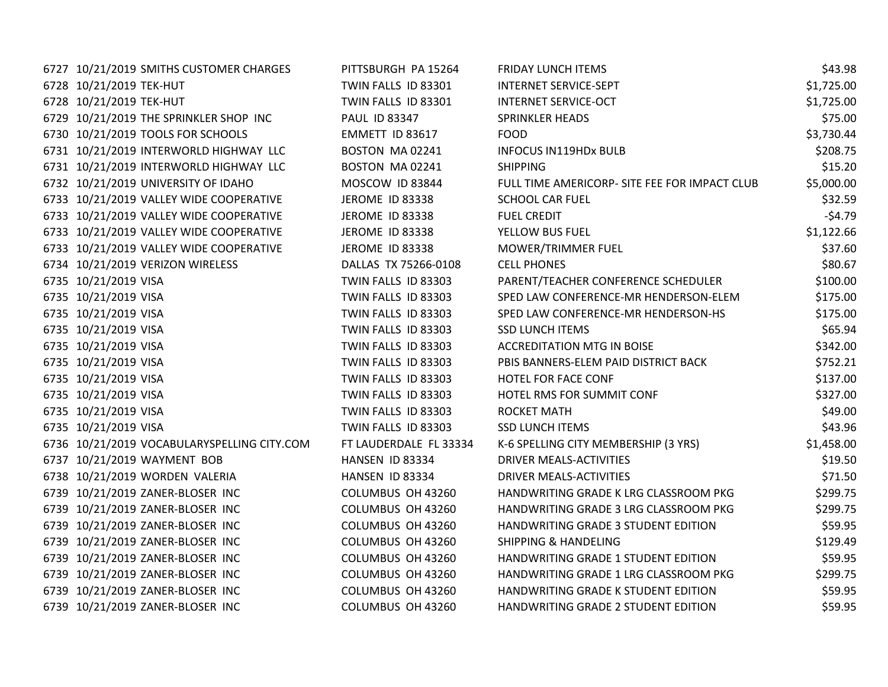| 6727 10/21/2019 SMITHS CUSTOMER CHARGES     | PITTSBURGH PA 15264    | <b>FRIDAY LUNCH ITEMS</b>                     | \$43.98    |
|---------------------------------------------|------------------------|-----------------------------------------------|------------|
| 6728 10/21/2019 TEK-HUT                     | TWIN FALLS ID 83301    | <b>INTERNET SERVICE-SEPT</b>                  | \$1,725.00 |
| 6728 10/21/2019 TEK-HUT                     | TWIN FALLS ID 83301    | <b>INTERNET SERVICE-OCT</b>                   | \$1,725.00 |
| 6729 10/21/2019 THE SPRINKLER SHOP INC      | PAUL ID 83347          | <b>SPRINKLER HEADS</b>                        | \$75.00    |
| 6730 10/21/2019 TOOLS FOR SCHOOLS           | EMMETT ID 83617        | <b>FOOD</b>                                   | \$3,730.44 |
| 6731 10/21/2019 INTERWORLD HIGHWAY LLC      | BOSTON MA02241         | <b>INFOCUS IN119HDx BULB</b>                  | \$208.75   |
| 6731 10/21/2019 INTERWORLD HIGHWAY LLC      | BOSTON MA 02241        | <b>SHIPPING</b>                               | \$15.20    |
| 6732 10/21/2019 UNIVERSITY OF IDAHO         | MOSCOW ID 83844        | FULL TIME AMERICORP- SITE FEE FOR IMPACT CLUB | \$5,000.00 |
| 6733 10/21/2019 VALLEY WIDE COOPERATIVE     | JEROME ID 83338        | <b>SCHOOL CAR FUEL</b>                        | \$32.59    |
| 6733 10/21/2019 VALLEY WIDE COOPERATIVE     | <b>JEROME ID 83338</b> | <b>FUEL CREDIT</b>                            | $-54.79$   |
| 6733 10/21/2019 VALLEY WIDE COOPERATIVE     | JEROME ID 83338        | YELLOW BUS FUEL                               | \$1,122.66 |
| 6733 10/21/2019 VALLEY WIDE COOPERATIVE     | JEROME ID 83338        | MOWER/TRIMMER FUEL                            | \$37.60    |
| 6734 10/21/2019 VERIZON WIRELESS            | DALLAS TX 75266-0108   | <b>CELL PHONES</b>                            | \$80.67    |
| 6735 10/21/2019 VISA                        | TWIN FALLS ID 83303    | PARENT/TEACHER CONFERENCE SCHEDULER           | \$100.00   |
| 6735 10/21/2019 VISA                        | TWIN FALLS ID 83303    | SPED LAW CONFERENCE-MR HENDERSON-ELEM         | \$175.00   |
| 6735 10/21/2019 VISA                        | TWIN FALLS ID 83303    | SPED LAW CONFERENCE-MR HENDERSON-HS           | \$175.00   |
| 6735 10/21/2019 VISA                        | TWIN FALLS ID 83303    | <b>SSD LUNCH ITEMS</b>                        | \$65.94    |
| 6735 10/21/2019 VISA                        | TWIN FALLS ID 83303    | <b>ACCREDITATION MTG IN BOISE</b>             | \$342.00   |
| 6735 10/21/2019 VISA                        | TWIN FALLS ID 83303    | PBIS BANNERS-ELEM PAID DISTRICT BACK          | \$752.21   |
| 6735 10/21/2019 VISA                        | TWIN FALLS ID 83303    | HOTEL FOR FACE CONF                           | \$137.00   |
| 6735 10/21/2019 VISA                        | TWIN FALLS ID 83303    | HOTEL RMS FOR SUMMIT CONF                     | \$327.00   |
| 6735 10/21/2019 VISA                        | TWIN FALLS ID 83303    | ROCKET MATH                                   | \$49.00    |
| 6735 10/21/2019 VISA                        | TWIN FALLS ID 83303    | <b>SSD LUNCH ITEMS</b>                        | \$43.96    |
| 6736 10/21/2019 VOCABULARYSPELLING CITY.COM | FT LAUDERDALE FL 33334 | K-6 SPELLING CITY MEMBERSHIP (3 YRS)          | \$1,458.00 |
| 6737 10/21/2019 WAYMENT BOB                 | HANSEN ID 83334        | DRIVER MEALS-ACTIVITIES                       | \$19.50    |
| 6738 10/21/2019 WORDEN VALERIA              | HANSEN ID 83334        | DRIVER MEALS-ACTIVITIES                       | \$71.50    |
| 6739 10/21/2019 ZANER-BLOSER INC            | COLUMBUS OH 43260      | HANDWRITING GRADE K LRG CLASSROOM PKG         | \$299.75   |
| 6739 10/21/2019 ZANER-BLOSER INC            | COLUMBUS OH 43260      | HANDWRITING GRADE 3 LRG CLASSROOM PKG         | \$299.75   |
| 6739 10/21/2019 ZANER-BLOSER INC            | COLUMBUS OH 43260      | HANDWRITING GRADE 3 STUDENT EDITION           | \$59.95    |
| 6739 10/21/2019 ZANER-BLOSER INC            | COLUMBUS OH 43260      | <b>SHIPPING &amp; HANDELING</b>               | \$129.49   |
| 6739 10/21/2019 ZANER-BLOSER INC            | COLUMBUS OH 43260      | HANDWRITING GRADE 1 STUDENT EDITION           | \$59.95    |
| 6739 10/21/2019 ZANER-BLOSER INC            | COLUMBUS OH 43260      | HANDWRITING GRADE 1 LRG CLASSROOM PKG         | \$299.75   |
| 6739 10/21/2019 ZANER-BLOSER INC            | COLUMBUS OH 43260      | HANDWRITING GRADE K STUDENT EDITION           | \$59.95    |
| 6739 10/21/2019 ZANER-BLOSER INC            | COLUMBUS OH 43260      | HANDWRITING GRADE 2 STUDENT EDITION           | \$59.95    |